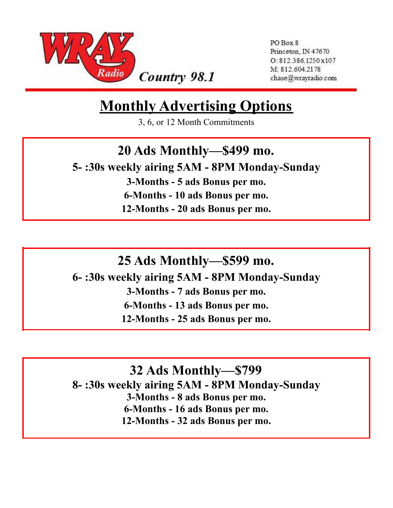

Country 98.1

PO Box 8 Princeton, IN 47670 O: 812.386.1250x107 M: 812.604.2178 chase@wrayradio.com

## **Monthly Advertising Options**

3, 6, or 12 Month Commitments

#### **20 Ads Monthly—\$499 mo.**

**5- :30s weekly airing 5AM - 8PM Monday-Sunday 3-Months - 5 ads Bonus per mo.**

**6-Months - 10 ads Bonus per mo. 12-Months - 20 ads Bonus per mo.**

**25 Ads Monthly—\$599 mo.**

**6- :30s weekly airing 5AM - 8PM Monday-Sunday**

**3-Months - 7 ads Bonus per mo.**

**6-Months - 13 ads Bonus per mo.**

**12-Months - 25 ads Bonus per mo.**

**32 Ads Monthly—\$799**

**8- :30s weekly airing 5AM - 8PM Monday-Sunday 3-Months - 8 ads Bonus per mo. 6-Months - 16 ads Bonus per mo. 12-Months - 32 ads Bonus per mo.**